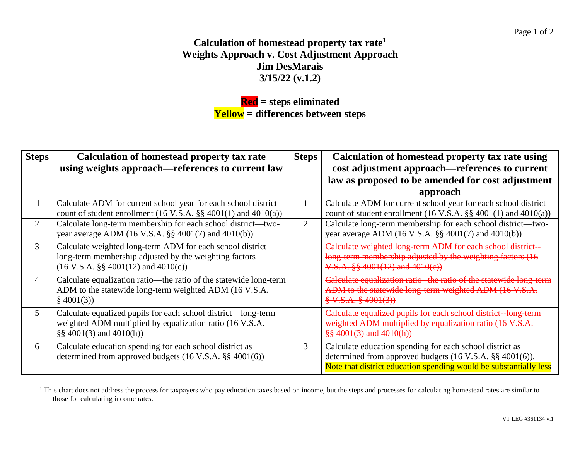## **Calculation of homestead property tax rate<sup>1</sup> Weights Approach v. Cost Adjustment Approach Jim DesMarais 3/15/22 (v.1.2)**

## **Red = steps eliminated Yellow = differences between steps**

| <b>Steps</b>   | <b>Calculation of homestead property tax rate</b><br>using weights approach—references to current law                                                                  | <b>Steps</b>   | Calculation of homestead property tax rate using<br>cost adjustment approach—references to current<br>law as proposed to be amended for cost adjustment                                                   |
|----------------|------------------------------------------------------------------------------------------------------------------------------------------------------------------------|----------------|-----------------------------------------------------------------------------------------------------------------------------------------------------------------------------------------------------------|
|                |                                                                                                                                                                        |                | approach                                                                                                                                                                                                  |
|                | Calculate ADM for current school year for each school district-<br>count of student enrollment $(16 \text{ V.S.A.} \$ §§ 4001 $(1)$ and 4010 $(a)$ )                   |                | Calculate ADM for current school year for each school district-<br>count of student enrollment $(16 \text{ V.S.A.} \$ § $4001(1)$ and $4010(a)$ )                                                         |
| $\overline{2}$ | Calculate long-term membership for each school district—two-<br>year average ADM (16 V.S.A. §§ 4001(7) and 4010(b))                                                    | $\overline{2}$ | Calculate long-term membership for each school district—two-<br>year average ADM $(16 \text{ V.S.A.} \$ § 4001(7) and 4010(b))                                                                            |
| 3              | Calculate weighted long-term ADM for each school district—<br>long-term membership adjusted by the weighting factors<br>$(16 \text{ V.S.A. }$ §§ 4001(12) and 4010(c)) |                | Calculate weighted long term ADM for each school district<br>long-term membership adjusted by the weighting factors (16<br>$V.S.A.$ §§ 4001(12) and 4010(e))                                              |
| 4              | Calculate equalization ratio—the ratio of the statewide long-term<br>ADM to the statewide long-term weighted ADM (16 V.S.A.<br>\$4001(3)                               |                | Calculate equalization ratio - the ratio of the statewide long-term<br>ADM to the statewide long-term weighted ADM (16 V.S.A<br>$\frac{8}{9}$ V.S.A. $\frac{8}{9}$ 4001(3))                               |
| 5              | Calculate equalized pupils for each school district—long-term<br>weighted ADM multiplied by equalization ratio (16 V.S.A.<br>$\S\S 4001(3)$ and $4010(h)$              |                | Calculate equalized pupils for each school district—long term<br>weighted ADM multiplied by equalization ratio (16 V.S.A.<br>$\frac{88}{9}$ 4001(3) and 4010(h))                                          |
| 6              | Calculate education spending for each school district as<br>determined from approved budgets $(16 \text{ V.S.A.} \$ § 4001(6))                                         | 3              | Calculate education spending for each school district as<br>determined from approved budgets $(16 \text{ V.S.A.} \$ §§ 4001 $(6)$ ).<br>Note that district education spending would be substantially less |

<sup>&</sup>lt;sup>1</sup> This chart does not address the process for taxpayers who pay education taxes based on income, but the steps and processes for calculating homestead rates are similar to those for calculating income rates.